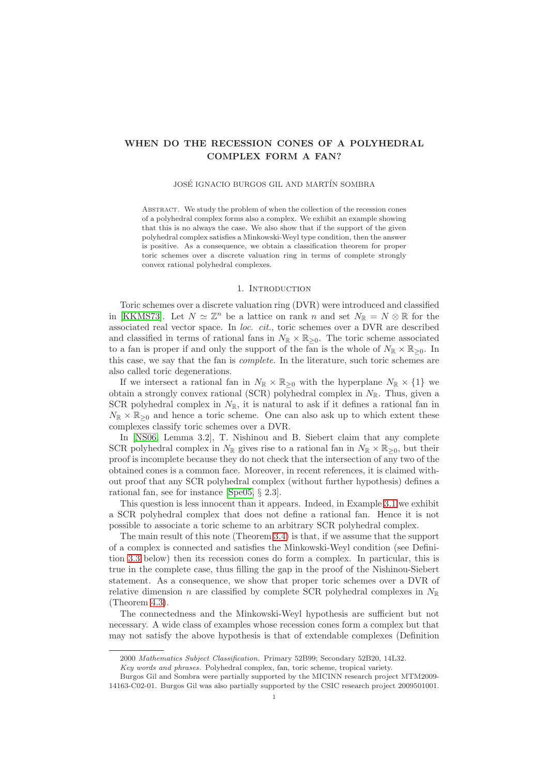# WHEN DO THE RECESSION CONES OF A POLYHEDRAL COMPLEX FORM A FAN?

## JOSÉ IGNACIO BURGOS GIL AND MARTÍN SOMBRA

ABSTRACT. We study the problem of when the collection of the recession cones of a polyhedral complex forms also a complex. We exhibit an example showing that this is no always the case. We also show that if the support of the given polyhedral complex satisfies a Minkowski-Weyl type condition, then the answer is positive. As a consequence, we obtain a classification theorem for proper toric schemes over a discrete valuation ring in terms of complete strongly convex rational polyhedral complexes.

### 1. INTRODUCTION

Toric schemes over a discrete valuation ring (DVR) were introduced and classified in [\[KKMS73\]](#page-7-0). Let  $N \simeq \mathbb{Z}^n$  be a lattice on rank n and set  $N_{\mathbb{R}} = N \otimes \mathbb{R}$  for the associated real vector space. In loc. cit., toric schemes over a DVR are described and classified in terms of rational fans in  $N_{\mathbb{R}} \times \mathbb{R}_{\geq 0}$ . The toric scheme associated to a fan is proper if and only the support of the fan is the whole of  $N_{\mathbb{R}} \times \mathbb{R}_{\geq 0}$ . In this case, we say that the fan is complete. In the literature, such toric schemes are also called toric degenerations.

If we intersect a rational fan in  $N_{\mathbb{R}} \times \mathbb{R}_{\geq 0}$  with the hyperplane  $N_{\mathbb{R}} \times \{1\}$  we obtain a strongly convex rational (SCR) polyhedral complex in  $N_{\mathbb{R}}$ . Thus, given a SCR polyhedral complex in  $N_{\mathbb{R}}$ , it is natural to ask if it defines a rational fan in  $N_{\mathbb{R}} \times \mathbb{R}_{\geq 0}$  and hence a toric scheme. One can also ask up to which extent these complexes classify toric schemes over a DVR.

In [\[NS06,](#page-7-1) Lemma 3.2], T. Nishinou and B. Siebert claim that any complete SCR polyhedral complex in  $N_{\mathbb{R}}$  gives rise to a rational fan in  $N_{\mathbb{R}} \times \mathbb{R}_{\geq 0}$ , but their proof is incomplete because they do not check that the intersection of any two of the obtained cones is a common face. Moreover, in recent references, it is claimed without proof that any SCR polyhedral complex (without further hypothesis) defines a rational fan, see for instance [\[Spe05,](#page-7-2) § 2.3].

This question is less innocent than it appears. Indeed, in Example [3.1](#page-2-0) we exhibit a SCR polyhedral complex that does not define a rational fan. Hence it is not possible to associate a toric scheme to an arbitrary SCR polyhedral complex.

The main result of this note (Theorem [3.4\)](#page-3-0) is that, if we assume that the support of a complex is connected and satisfies the Minkowski-Weyl condition (see Definition [3.3](#page-3-1) below) then its recession cones do form a complex. In particular, this is true in the complete case, thus filling the gap in the proof of the Nishinou-Siebert statement. As a consequence, we show that proper toric schemes over a DVR of relative dimension n are classified by complete SCR polyhedral complexes in  $N_{\mathbb{R}}$ (Theorem [4.3\)](#page-7-3).

The connectedness and the Minkowski-Weyl hypothesis are sufficient but not necessary. A wide class of examples whose recession cones form a complex but that may not satisfy the above hypothesis is that of extendable complexes (Definition

<sup>2000</sup> Mathematics Subject Classification. Primary 52B99; Secondary 52B20, 14L32.

Key words and phrases. Polyhedral complex, fan, toric scheme, tropical variety.

Burgos Gil and Sombra were partially supported by the MICINN research project MTM2009- 14163-C02-01. Burgos Gil was also partially supported by the CSIC research project 2009501001.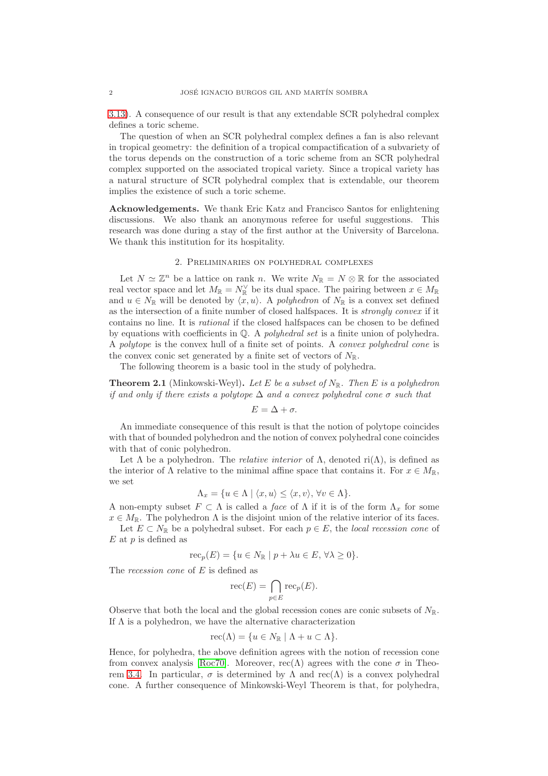[3.13\)](#page-6-0). A consequence of our result is that any extendable SCR polyhedral complex defines a toric scheme.

The question of when an SCR polyhedral complex defines a fan is also relevant in tropical geometry: the definition of a tropical compactification of a subvariety of the torus depends on the construction of a toric scheme from an SCR polyhedral complex supported on the associated tropical variety. Since a tropical variety has a natural structure of SCR polyhedral complex that is extendable, our theorem implies the existence of such a toric scheme.

Acknowledgements. We thank Eric Katz and Francisco Santos for enlightening discussions. We also thank an anonymous referee for useful suggestions. This research was done during a stay of the first author at the University of Barcelona. We thank this institution for its hospitality.

# 2. Preliminaries on polyhedral complexes

Let  $N \simeq \mathbb{Z}^n$  be a lattice on rank n. We write  $N_{\mathbb{R}} = N \otimes \mathbb{R}$  for the associated real vector space and let  $M_{\mathbb{R}} = N_{\mathbb{R}}^{\vee}$  be its dual space. The pairing between  $x \in M_{\mathbb{R}}$ and  $u \in N_{\mathbb{R}}$  will be denoted by  $\langle x, u \rangle$ . A polyhedron of  $N_{\mathbb{R}}$  is a convex set defined as the intersection of a finite number of closed halfspaces. It is strongly convex if it contains no line. It is rational if the closed halfspaces can be chosen to be defined by equations with coefficients in  $\mathbb{Q}$ . A *polyhedral set* is a finite union of polyhedra. A polytope is the convex hull of a finite set of points. A convex polyhedral cone is the convex conic set generated by a finite set of vectors of  $N_{\mathbb{R}}$ .

The following theorem is a basic tool in the study of polyhedra.

**Theorem 2.1** (Minkowski-Weyl). Let E be a subset of  $N_{\mathbb{R}}$ . Then E is a polyhedron if and only if there exists a polytope  $\Delta$  and a convex polyhedral cone  $\sigma$  such that

$$
E=\Delta+\sigma.
$$

An immediate consequence of this result is that the notion of polytope coincides with that of bounded polyhedron and the notion of convex polyhedral cone coincides with that of conic polyhedron.

Let  $\Lambda$  be a polyhedron. The *relative interior* of  $\Lambda$ , denoted ri $(\Lambda)$ , is defined as the interior of  $\Lambda$  relative to the minimal affine space that contains it. For  $x \in M_{\mathbb{R}}$ , we set

$$
\Lambda_x = \{ u \in \Lambda \mid \langle x, u \rangle \le \langle x, v \rangle, \forall v \in \Lambda \}.
$$

A non-empty subset  $F \subset \Lambda$  is called a *face* of  $\Lambda$  if it is of the form  $\Lambda_x$  for some  $x \in M_{\mathbb{R}}$ . The polyhedron  $\Lambda$  is the disjoint union of the relative interior of its faces.

Let  $E \subset N_{\mathbb{R}}$  be a polyhedral subset. For each  $p \in E$ , the local recession cone of  $E$  at  $p$  is defined as

$$
\operatorname{rec}_p(E) = \{ u \in N_{\mathbb{R}} \mid p + \lambda u \in E, \forall \lambda \ge 0 \}.
$$

The recession cone of E is defined as

$$
\operatorname{rec}(E) = \bigcap_{p \in E} \operatorname{rec}_p(E).
$$

Observe that both the local and the global recession cones are conic subsets of  $N_{\mathbb{R}}$ . If  $\Lambda$  is a polyhedron, we have the alternative characterization

$$
\operatorname{rec}(\Lambda) = \{ u \in N_{\mathbb{R}} \mid \Lambda + u \subset \Lambda \}.
$$

Hence, for polyhedra, the above definition agrees with the notion of recession cone from convex analysis [\[Roc70\]](#page-7-4). Moreover,  $\operatorname{rec}(\Lambda)$  agrees with the cone  $\sigma$  in Theo-rem [3.4.](#page-3-0) In particular,  $\sigma$  is determined by  $\Lambda$  and rec( $\Lambda$ ) is a convex polyhedral cone. A further consequence of Minkowski-Weyl Theorem is that, for polyhedra,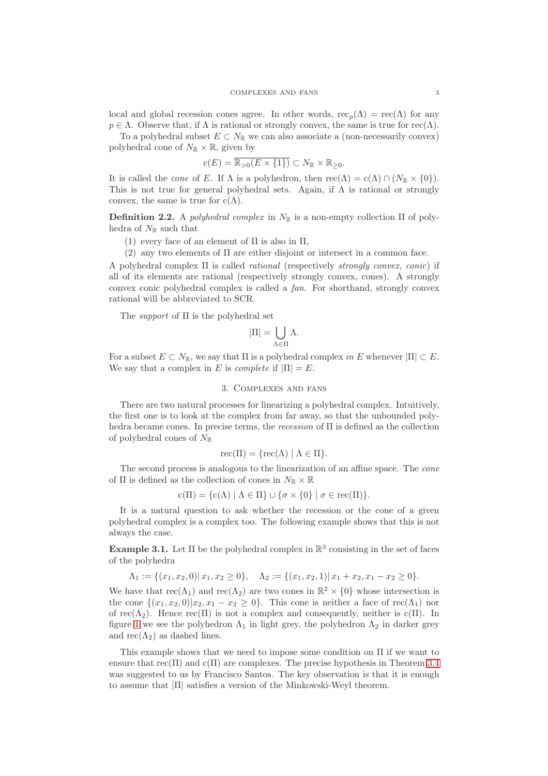local and global recession cones agree. In other words,  $\operatorname{rec}_p(\Lambda) = \operatorname{rec}(\Lambda)$  for any  $p \in \Lambda$ . Observe that, if  $\Lambda$  is rational or strongly convex, the same is true for rec( $\Lambda$ ).

To a polyhedral subset  $E \subset N_{\mathbb{R}}$  we can also associate a (non-necessarily convex) polyhedral cone of  $N_{\mathbb{R}} \times \mathbb{R}$ , given by

$$
\mathbf{c}(E) = \overline{\mathbb{R}_{>0}(E \times \{1\})} \subset N_{\mathbb{R}} \times \mathbb{R}_{\geq 0}.
$$

It is called the *cone* of E. If  $\Lambda$  is a polyhedron, then  $\operatorname{rec}(\Lambda) = \operatorname{c}(\Lambda) \cap (N_{\mathbb{R}} \times \{0\}).$ This is not true for general polyhedral sets. Again, if  $\Lambda$  is rational or strongly convex, the same is true for  $c(\Lambda)$ .

<span id="page-2-1"></span>**Definition 2.2.** A polyhedral complex in  $N_{\mathbb{R}}$  is a non-empty collection  $\Pi$  of polyhedra of  $N_{\mathbb{R}}$  such that

- (1) every face of an element of  $\Pi$  is also in  $\Pi$ ,
- (2) any two elements of  $\Pi$  are either disjoint or intersect in a common face.

A polyhedral complex Π is called rational (respectively strongly convex, conic) if all of its elements are rational (respectively strongly convex, cones). A strongly convex conic polyhedral complex is called a fan. For shorthand, strongly convex rational will be abbreviated to SCR.

The *support* of  $\Pi$  is the polyhedral set

$$
|\Pi|=\bigcup_{\Lambda\in\Pi}\Lambda.
$$

For a subset  $E \subset N_{\mathbb{R}}$ , we say that  $\Pi$  is a polyhedral complex in E whenever  $|\Pi| \subset E$ . We say that a complex in E is *complete* if  $|\Pi| = E$ .

# 3. Complexes and fans

There are two natural processes for linearizing a polyhedral complex. Intuitively, the first one is to look at the complex from far away, so that the unbounded polyhedra became cones. In precise terms, the recession of Π is defined as the collection of polyhedral cones of  $N_{\mathbb{R}}$ 

$$
\operatorname{rec}(\Pi) = \{ \operatorname{rec}(\Lambda) \mid \Lambda \in \Pi \}.
$$

The second process is analogous to the linearization of an affine space. The cone of  $\Pi$  is defined as the collection of cones in  $N_{\mathbb{R}} \times \mathbb{R}$ 

 $c(\Pi) = \{c(\Lambda) \mid \Lambda \in \Pi\} \cup \{\sigma \times \{0\} \mid \sigma \in \text{rec}(\Pi)\}.$ 

It is a natural question to ask whether the recession or the cone of a given polyhedral complex is a complex too. The following example shows that this is not always the case.

<span id="page-2-0"></span>**Example 3.1.** Let  $\Pi$  be the polyhedral complex in  $\mathbb{R}^3$  consisting in the set of faces of the polyhedra

$$
\Lambda_1 := \{(x_1, x_2, 0) | x_1, x_2 \ge 0\}, \quad \Lambda_2 := \{(x_1, x_2, 1) | x_1 + x_2, x_1 - x_2 \ge 0\}.
$$

We have that  $\operatorname{rec}(\Lambda_1)$  and  $\operatorname{rec}(\Lambda_2)$  are two cones in  $\mathbb{R}^2 \times \{0\}$  whose intersection is the cone  $\{(x_1, x_2, 0)|x_2, x_1 - x_2 \geq 0\}$ . This cone is neither a face of rec( $\Lambda_1$ ) nor of rec( $\Lambda_2$ ). Hence rec( $\Pi$ ) is not a complex and consequently, neither is c( $\Pi$ ). In figure [1](#page-3-2) we see the polyhedron  $\Lambda_1$  in light grey, the polyhedron  $\Lambda_2$  in darker grey and  $\operatorname{rec}(\Lambda_2)$  as dashed lines.

This example shows that we need to impose some condition on Π if we want to ensure that  $rec(\Pi)$  and  $c(\Pi)$  are complexes. The precise hypothesis in Theorem [3.4](#page-3-0) was suggested to us by Francisco Santos. The key observation is that it is enough to assume that  $|\Pi|$  satisfies a version of the Minkowski-Weyl theorem.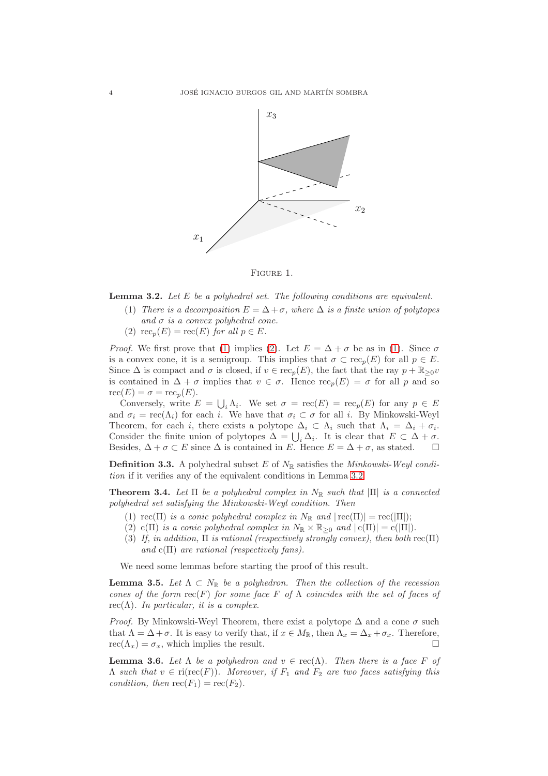

<span id="page-3-2"></span>Figure 1.

<span id="page-3-5"></span><span id="page-3-3"></span>**Lemma 3.2.** Let  $E$  be a polyhedral set. The following conditions are equivalent.

- (1) There is a decomposition  $E = \Delta + \sigma$ , where  $\Delta$  is a finite union of polytopes and  $\sigma$  is a convex polyhedral cone.
- <span id="page-3-4"></span>(2)  $\operatorname{rec}_p(E) = \operatorname{rec}(E)$  for all  $p \in E$ .

*Proof.* We first prove that [\(1\)](#page-3-3) implies [\(2\)](#page-3-4). Let  $E = \Delta + \sigma$  be as in (1). Since  $\sigma$ is a convex cone, it is a semigroup. This implies that  $\sigma \subset \text{rec}_p(E)$  for all  $p \in E$ . Since  $\Delta$  is compact and  $\sigma$  is closed, if  $v \in \text{rec}_p(E)$ , the fact that the ray  $p + \mathbb{R}_{\geq 0}v$ is contained in  $\Delta + \sigma$  implies that  $v \in \sigma$ . Hence  $\operatorname{rec}_p(E) = \sigma$  for all p and so  $\operatorname{rec}(E) = \sigma = \operatorname{rec}_n(E).$ 

Conversely, write  $E = \bigcup_i \Lambda_i$ . We set  $\sigma = \text{rec}(E) = \text{rec}_p(E)$  for any  $p \in E$ and  $\sigma_i = \text{rec}(\Lambda_i)$  for each i. We have that  $\sigma_i \subset \sigma$  for all i. By Minkowski-Weyl Theorem, for each i, there exists a polytope  $\Delta_i \subset \Lambda_i$  such that  $\Lambda_i = \Delta_i + \sigma_i$ . Consider the finite union of polytopes  $\Delta = \bigcup_i \Delta_i$ . It is clear that  $E \subset \Delta + \sigma$ . Besides,  $\Delta + \sigma \subset E$  since  $\Delta$  is contained in E. Hence  $E = \Delta + \sigma$ , as stated.  $\square$ 

<span id="page-3-1"></span>**Definition 3.3.** A polyhedral subset E of  $N_{\mathbb{R}}$  satisfies the *Minkowski-Weyl condi*tion if it verifies any of the equivalent conditions in Lemma [3.2.](#page-3-5)

<span id="page-3-7"></span><span id="page-3-0"></span>**Theorem 3.4.** Let  $\Pi$  be a polyhedral complex in  $N_{\mathbb{R}}$  such that  $|\Pi|$  is a connected polyhedral set satisfying the Minkowski-Weyl condition. Then

- <span id="page-3-9"></span>(1)  $\text{rec}(\Pi)$  is a conic polyhedral complex in  $N_{\mathbb{R}}$  and  $|\text{rec}(\Pi)| = \text{rec}(|\Pi|);$
- <span id="page-3-10"></span>(2) c(Π) is a conic polyhedral complex in  $N_{\mathbb{R}} \times \mathbb{R}_{\geq 0}$  and  $|c(\Pi)| = c(|\Pi|)$ .
- (3) If, in addition,  $\Pi$  is rational (respectively strongly convex), then both rec( $\Pi$ ) and  $c(\Pi)$  are rational (respectively fans).

We need some lemmas before starting the proof of this result.

<span id="page-3-6"></span>**Lemma 3.5.** Let  $\Lambda \subset N_{\mathbb{R}}$  be a polyhedron. Then the collection of the recession cones of the form  $rec(F)$  for some face F of  $\Lambda$  coincides with the set of faces of rec( $\Lambda$ ). In particular, it is a complex.

*Proof.* By Minkowski-Weyl Theorem, there exist a polytope  $\Delta$  and a cone  $\sigma$  such that  $\Lambda = \Delta + \sigma$ . It is easy to verify that, if  $x \in M_{\mathbb{R}}$ , then  $\Lambda_x = \Delta_x + \sigma_x$ . Therefore,  $rec(\Lambda_x) = \sigma_x$ , which implies the result.

<span id="page-3-8"></span>**Lemma 3.6.** Let  $\Lambda$  be a polyhedron and  $v \in \text{rec}(\Lambda)$ . Then there is a face F of  $\Lambda$  such that  $v \in \text{ri}(\text{rec}(F))$ . Moreover, if  $F_1$  and  $F_2$  are two faces satisfying this condition, then  $\operatorname{rec}(F_1) = \operatorname{rec}(F_2)$ .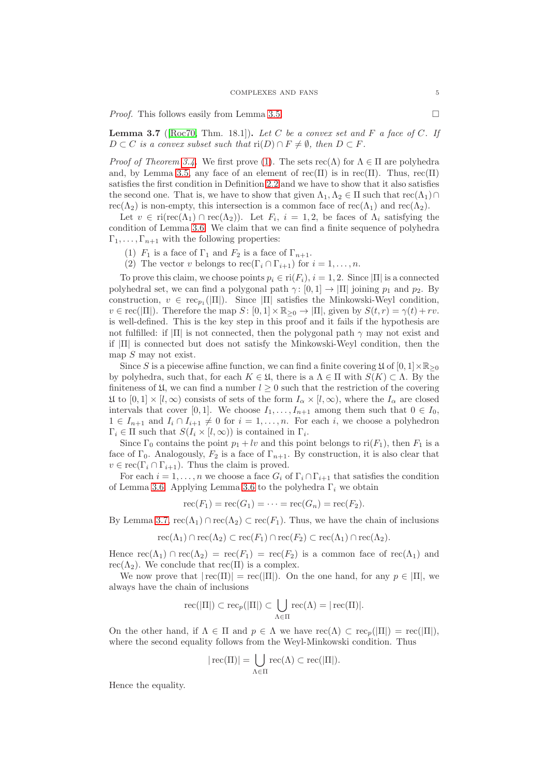*Proof.* This follows easily from Lemma [3.5.](#page-3-6)

<span id="page-4-0"></span>**Lemma 3.7** ([\[Roc70,](#page-7-4) Thm. 18.1]). Let C be a convex set and F a face of C. If  $D \subset C$  is a convex subset such that  $\operatorname{ri}(D) \cap F \neq \emptyset$ , then  $D \subset F$ .

*Proof of Theorem [3.4.](#page-3-0)* We first prove [\(1\)](#page-3-7). The sets  $\operatorname{rec}(\Lambda)$  for  $\Lambda \in \Pi$  are polyhedra and, by Lemma [3.5,](#page-3-6) any face of an element of rec(Π) is in rec(Π). Thus, rec(Π) satisfies the first condition in Definition [2.2](#page-2-1) and we have to show that it also satisfies the second one. That is, we have to show that given  $\Lambda_1, \Lambda_2 \in \Pi$  such that  $\text{rec}(\Lambda_1) \cap$ rec( $\Lambda_2$ ) is non-empty, this intersection is a common face of rec( $\Lambda_1$ ) and rec( $\Lambda_2$ ).

Let  $v \in \text{ri}(\text{rec}(\Lambda_1) \cap \text{rec}(\Lambda_2))$ . Let  $F_i$ ,  $i = 1, 2$ , be faces of  $\Lambda_i$  satisfying the condition of Lemma [3.6.](#page-3-8) We claim that we can find a finite sequence of polyhedra  $\Gamma_1, \ldots, \Gamma_{n+1}$  with the following properties:

- (1)  $F_1$  is a face of  $\Gamma_1$  and  $F_2$  is a face of  $\Gamma_{n+1}$ .
- (2) The vector v belongs to  $\operatorname{rec}(\Gamma_i \cap \Gamma_{i+1})$  for  $i = 1, ..., n$ .

To prove this claim, we choose points  $p_i \in \text{ri}(F_i)$ ,  $i = 1, 2$ . Since  $|\Pi|$  is a connected polyhedral set, we can find a polygonal path  $\gamma: [0, 1] \to |\Pi|$  joining  $p_1$  and  $p_2$ . By construction,  $v \in \text{rec}_{p_1}(|\Pi|)$ . Since  $|\Pi|$  satisfies the Minkowski-Weyl condition,  $v \in \text{rec}(|\Pi|)$ . Therefore the map  $S: [0,1] \times \mathbb{R}_{\geq 0} \to |\Pi|$ , given by  $S(t,r) = \gamma(t) + rv$ . is well-defined. This is the key step in this proof and it fails if the hypothesis are not fulfilled: if  $|\Pi|$  is not connected, then the polygonal path  $\gamma$  may not exist and if  $|\Pi|$  is connected but does not satisfy the Minkowski-Weyl condition, then the map  $S$  may not exist.

Since S is a piecewise affine function, we can find a finite covering  $\mathfrak{U}$  of  $[0,1] \times \mathbb{R}_{\geq 0}$ by polyhedra, such that, for each  $K \in \mathfrak{U}$ , there is a  $\Lambda \in \Pi$  with  $S(K) \subset \Lambda$ . By the finiteness of  $\mathfrak{U}$ , we can find a number  $l \geq 0$  such that the restriction of the covering  $\mathfrak{U}$  to  $[0,1] \times [l,\infty)$  consists of sets of the form  $I_{\alpha} \times [l,\infty)$ , where the  $I_{\alpha}$  are closed intervals that cover [0, 1]. We choose  $I_1, \ldots, I_{n+1}$  among them such that  $0 \in I_0$ ,  $1 \in I_{n+1}$  and  $I_i \cap I_{i+1} \neq 0$  for  $i = 1, ..., n$ . For each i, we choose a polyhedron  $\Gamma_i \in \Pi$  such that  $S(I_i \times [l, \infty))$  is contained in  $\Gamma_i$ .

Since  $\Gamma_0$  contains the point  $p_1 + l\upsilon$  and this point belongs to ri $(F_1)$ , then  $F_1$  is a face of  $\Gamma_0$ . Analogously,  $F_2$  is a face of  $\Gamma_{n+1}$ . By construction, it is also clear that  $v \in \text{rec}(\Gamma_i \cap \Gamma_{i+1})$ . Thus the claim is proved.

For each  $i = 1, ..., n$  we choose a face  $G_i$  of  $\Gamma_i \cap \Gamma_{i+1}$  that satisfies the condition of Lemma [3.6.](#page-3-8) Applying Lemma [3.6](#page-3-8) to the polyhedra  $\Gamma_i$  we obtain

$$
\operatorname{rec}(F_1) = \operatorname{rec}(G_1) = \cdots = \operatorname{rec}(G_n) = \operatorname{rec}(F_2).
$$

By Lemma [3.7,](#page-4-0)  $\text{rec}(\Lambda_1) \cap \text{rec}(\Lambda_2) \subset \text{rec}(F_1)$ . Thus, we have the chain of inclusions

$$
\operatorname{rec}(\Lambda_1) \cap \operatorname{rec}(\Lambda_2) \subset \operatorname{rec}(F_1) \cap \operatorname{rec}(F_2) \subset \operatorname{rec}(\Lambda_1) \cap \operatorname{rec}(\Lambda_2).
$$

Hence  $\operatorname{rec}(\Lambda_1) \cap \operatorname{rec}(\Lambda_2) = \operatorname{rec}(F_1) = \operatorname{rec}(F_2)$  is a common face of  $\operatorname{rec}(\Lambda_1)$  and  $rec(\Lambda_2)$ . We conclude that  $rec(\Pi)$  is a complex.

We now prove that  $|\text{rec}(\Pi)| = \text{rec}(|\Pi|)$ . On the one hand, for any  $p \in |\Pi|$ , we always have the chain of inclusions

$$
\operatorname{rec}(|\Pi|) \subset \operatorname{rec}_{p}(|\Pi|) \subset \bigcup_{\Lambda \in \Pi} \operatorname{rec}(\Lambda) = |\operatorname{rec}(\Pi)|.
$$

On the other hand, if  $\Lambda \in \Pi$  and  $p \in \Lambda$  we have  $\text{rec}(\Lambda) \subset \text{rec}_p(|\Pi|) = \text{rec}(|\Pi|)$ , where the second equality follows from the Weyl-Minkowski condition. Thus

$$
|\operatorname{rec}(\Pi)| = \bigcup_{\Lambda \in \Pi} \operatorname{rec}(\Lambda) \subset \operatorname{rec}(|\Pi|).
$$

Hence the equality.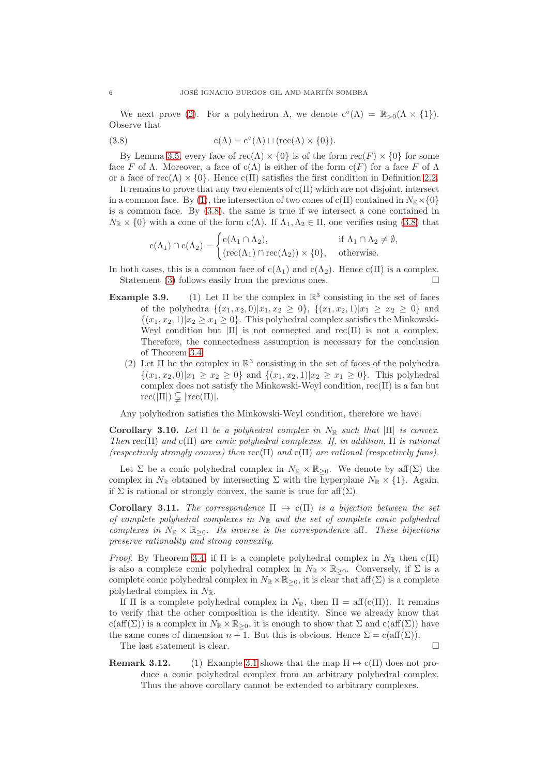We next prove [\(2\)](#page-3-9). For a polyhedron  $\Lambda$ , we denote  $c^{\circ}(\Lambda) = \mathbb{R}_{>0}(\Lambda \times \{1\}).$ Observe that

<span id="page-5-0"></span>(3.8) 
$$
c(\Lambda) = c^{\circ}(\Lambda) \sqcup (rec(\Lambda) \times \{0\}).
$$

By Lemma [3.5,](#page-3-6) every face of  $rec(\Lambda) \times \{0\}$  is of the form  $rec(F) \times \{0\}$  for some face F of  $\Lambda$ . Moreover, a face of c $(\Lambda)$  is either of the form  $c(F)$  for a face F of  $\Lambda$ or a face of rec( $\Lambda$ ) × {0}. Hence c( $\Pi$ ) satisfies the first condition in Definition [2.2.](#page-2-1)

It remains to prove that any two elements of  $c(\Pi)$  which are not disjoint, intersect in a common face. By [\(1\)](#page-3-7), the intersection of two cones of  $c(\Pi)$  contained in  $N_{\mathbb{R}} \times \{0\}$ is a common face. By [\(3.8\)](#page-5-0), the same is true if we intersect a cone contained in  $N_{\mathbb{R}} \times \{0\}$  with a cone of the form c( $\Lambda$ ). If  $\Lambda_1, \Lambda_2 \in \Pi$ , one verifies using [\(3.8\)](#page-5-0) that

$$
c(\Lambda_1) \cap c(\Lambda_2) = \begin{cases} c(\Lambda_1 \cap \Lambda_2), & \text{if } \Lambda_1 \cap \Lambda_2 \neq \emptyset, \\ (rec(\Lambda_1) \cap rec(\Lambda_2)) \times \{0\}, & \text{otherwise.} \end{cases}
$$

- In both cases, this is a common face of  $c(\Lambda_1)$  and  $c(\Lambda_2)$ . Hence  $c(\Pi)$  is a complex. Statement [\(3\)](#page-3-10) follows easily from the previous ones.  $\Box$
- <span id="page-5-2"></span>**Example 3.9.** (1) Let  $\Pi$  be the complex in  $\mathbb{R}^3$  consisting in the set of faces of the polyhedra  $\{(x_1, x_2, 0)|x_1, x_2 \geq 0\}$ ,  $\{(x_1, x_2, 1)|x_1 \geq x_2 \geq 0\}$  and  $\{(x_1, x_2, 1)|x_2 \ge x_1 \ge 0\}$ . This polyhedral complex satisfies the Minkowski-Weyl condition but  $|\Pi|$  is not connected and rec( $\Pi$ ) is not a complex. Therefore, the connectedness assumption is necessary for the conclusion of Theorem [3.4.](#page-3-0)
	- (2) Let  $\Pi$  be the complex in  $\mathbb{R}^3$  consisting in the set of faces of the polyhedra  $\{(x_1, x_2, 0)|x_1 \ge x_2 \ge 0\}$  and  $\{(x_1, x_2, 1)|x_2 \ge x_1 \ge 0\}$ . This polyhedral complex does not satisfy the Minkowski-Weyl condition,  $rec(\Pi)$  is a fan but  $rec(|\Pi|) \subsetneq |rec(\Pi)|$ .

Any polyhedron satisfies the Minkowski-Weyl condition, therefore we have:

Corollary 3.10. Let  $\Pi$  be a polyhedral complex in  $N_{\mathbb{R}}$  such that  $|\Pi|$  is convex. Then  $rec(\Pi)$  and  $c(\Pi)$  are conic polyhedral complexes. If, in addition,  $\Pi$  is rational (respectively strongly convex) then  $rec(\Pi)$  and  $c(\Pi)$  are rational (respectively fans).

Let  $\Sigma$  be a conic polyhedral complex in  $N_{\mathbb{R}} \times \mathbb{R}_{\geq 0}$ . We denote by aff( $\Sigma$ ) the complex in  $N_{\mathbb{R}}$  obtained by intersecting  $\Sigma$  with the hyperplane  $N_{\mathbb{R}} \times \{1\}$ . Again, if  $\Sigma$  is rational or strongly convex, the same is true for aff $(\Sigma)$ .

<span id="page-5-1"></span>Corollary 3.11. The correspondence  $\Pi \mapsto c(\Pi)$  is a bijection between the set of complete polyhedral complexes in  $N_{\mathbb{R}}$  and the set of complete conic polyhedral complexes in  $N_{\mathbb{R}} \times \mathbb{R}_{\geq 0}$ . Its inverse is the correspondence aff. These bijections preserve rationality and strong convexity.

*Proof.* By Theorem [3.4,](#page-3-0) if  $\Pi$  is a complete polyhedral complex in  $N_{\mathbb{R}}$  then  $c(\Pi)$ is also a complete conic polyhedral complex in  $N_{\mathbb{R}} \times \mathbb{R}_{\geq 0}$ . Conversely, if  $\Sigma$  is a complete conic polyhedral complex in  $N_{\mathbb{R}} \times \mathbb{R}_{\geq 0}$ , it is clear that aff( $\Sigma$ ) is a complete polyhedral complex in  $N_{\mathbb{R}}$ .

If  $\Pi$  is a complete polyhedral complex in  $N_{\mathbb{R}}$ , then  $\Pi = \text{aff}(c(\Pi))$ . It remains to verify that the other composition is the identity. Since we already know that c(aff(Σ)) is a complex in  $N_{\mathbb{R}} \times \mathbb{R}_{\geq 0}$ , it is enough to show that  $\Sigma$  and c(aff(Σ)) have the same cones of dimension  $n + 1$ . But this is obvious. Hence  $\Sigma = c(aff(\Sigma))$ .

The last statement is clear.

**Remark [3.1](#page-2-0)2.** (1) Example 3.1 shows that the map  $\Pi \mapsto c(\Pi)$  does not produce a conic polyhedral complex from an arbitrary polyhedral complex. Thus the above corollary cannot be extended to arbitrary complexes.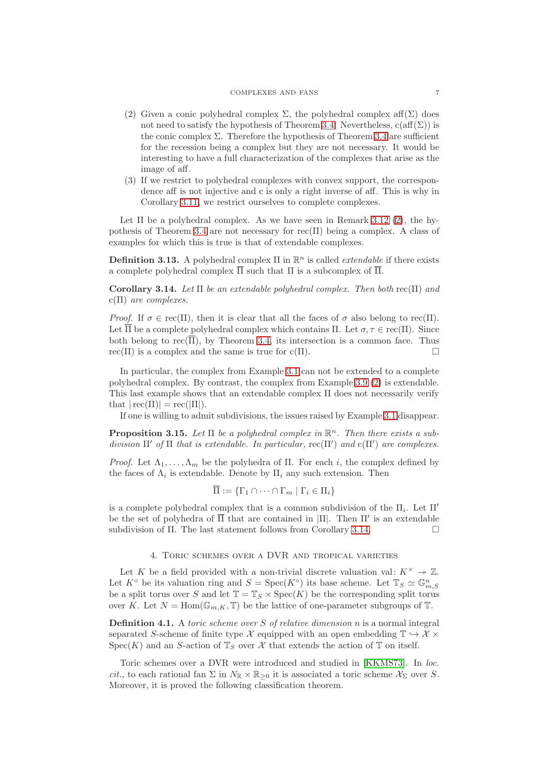#### COMPLEXES AND FANS 7

- <span id="page-6-1"></span>(2) Given a conic polyhedral complex  $\Sigma$ , the polyhedral complex aff( $\Sigma$ ) does not need to satisfy the hypothesis of Theorem [3.4.](#page-3-0) Nevertheless,  $c(\text{aff}(\Sigma))$  is the conic complex  $\Sigma$ . Therefore the hypothesis of Theorem [3.4](#page-3-0) are sufficient for the recession being a complex but they are not necessary. It would be interesting to have a full characterization of the complexes that arise as the image of aff.
- (3) If we restrict to polyhedral complexes with convex support, the correspondence aff is not injective and c is only a right inverse of aff. This is why in Corollary [3.11,](#page-5-1) we restrict ourselves to complete complexes.

Let  $\Pi$  be a polyhedral complex. As we have seen in Remark 3.12 [\(2\)](#page-6-1), the hy-pothesis of Theorem [3.4](#page-3-0) are not necessary for  $rec(\Pi)$  being a complex. A class of examples for which this is true is that of extendable complexes.

<span id="page-6-0"></span>**Definition 3.13.** A polyhedral complex  $\Pi$  in  $\mathbb{R}^n$  is called *extendable* if there exists a complete polyhedral complex  $\Pi$  such that  $\Pi$  is a subcomplex of  $\Pi$ .

<span id="page-6-2"></span>Corollary 3.14. Let  $\Pi$  be an extendable polyhedral complex. Then both rec( $\Pi$ ) and  $c(\Pi)$  are complexes.

Proof. If  $\sigma \in \text{rec}(\Pi)$ , then it is clear that all the faces of  $\sigma$  also belong to rec( $\Pi$ ). Let  $\overline{\Pi}$  be a complete polyhedral complex which contains  $\Pi$ . Let  $\sigma, \tau \in \text{rec}(\Pi)$ . Since both belong to rec( $\overline{\Pi}$ ), by Theorem [3.4,](#page-3-0) its intersection is a common face. Thus  $rec(\Pi)$  is a complex and the same is true for  $c(\Pi)$ .

In particular, the complex from Example [3.1](#page-2-0) can not be extended to a complete polyhedral complex. By contrast, the complex from Example 3.9 [\(2\)](#page-5-2) is extendable. This last example shows that an extendable complex Π does not necessarily verify that  $|\text{rec}(\Pi)| = \text{rec}(|\Pi|)$ .

If one is willing to admit subdivisions, the issues raised by Example [3.1](#page-2-0) disappear.

**Proposition 3.15.** Let  $\Pi$  be a polyhedral complex in  $\mathbb{R}^n$ . Then there exists a subdivision  $\Pi'$  of  $\Pi$  that is extendable. In particular, rec $(\Pi')$  and  $c(\Pi')$  are complexes.

*Proof.* Let  $\Lambda_1, \ldots, \Lambda_m$  be the polyhedra of Π. For each i, the complex defined by the faces of  $\Lambda_i$  is extendable. Denote by  $\Pi_i$  any such extension. Then

$$
\overline{\Pi} := \{ \Gamma_1 \cap \cdots \cap \Gamma_m \mid \Gamma_i \in \Pi_i \}
$$

is a complete polyhedral complex that is a common subdivision of the  $\Pi_i$ . Let  $\Pi'$ be the set of polyhedra of  $\overline{\Pi}$  that are contained in  $|\Pi|$ . Then  $\Pi'$  is an extendable subdivision of Π. The last statement follows from Corollary [3.14.](#page-6-2)

# 4. Toric schemes over a DVR and tropical varieties

Let K be a field provided with a non-trivial discrete valuation val:  $K^{\times} \rightarrow \mathbb{Z}$ . Let  $K^{\circ}$  be its valuation ring and  $S = \text{Spec}(K^{\circ})$  its base scheme. Let  $\mathbb{T}_S \simeq \mathbb{G}_{m,S}^n$ be a split torus over S and let  $\mathbb{T} = \mathbb{T}_S \times \mathrm{Spec}(K)$  be the corresponding split torus over K. Let  $N = \text{Hom}(\mathbb{G}_{m,K}, \mathbb{T})$  be the lattice of one-parameter subgroups of  $\mathbb{T}$ .

**Definition 4.1.** A *toric scheme over S of relative dimension*  $n$  is a normal integral separated S-scheme of finite type X equipped with an open embedding  $\mathbb{T} \hookrightarrow \mathcal{X} \times$ Spec(K) and an S-action of  $\mathbb{T}_S$  over X that extends the action of  $\mathbb{T}$  on itself.

Toric schemes over a DVR were introduced and studied in [\[KKMS73\]](#page-7-0). In loc. cit., to each rational fan  $\Sigma$  in  $N_{\mathbb{R}} \times \mathbb{R}_{\geq 0}$  it is associated a toric scheme  $\mathcal{X}_{\Sigma}$  over S. Moreover, it is proved the following classification theorem.